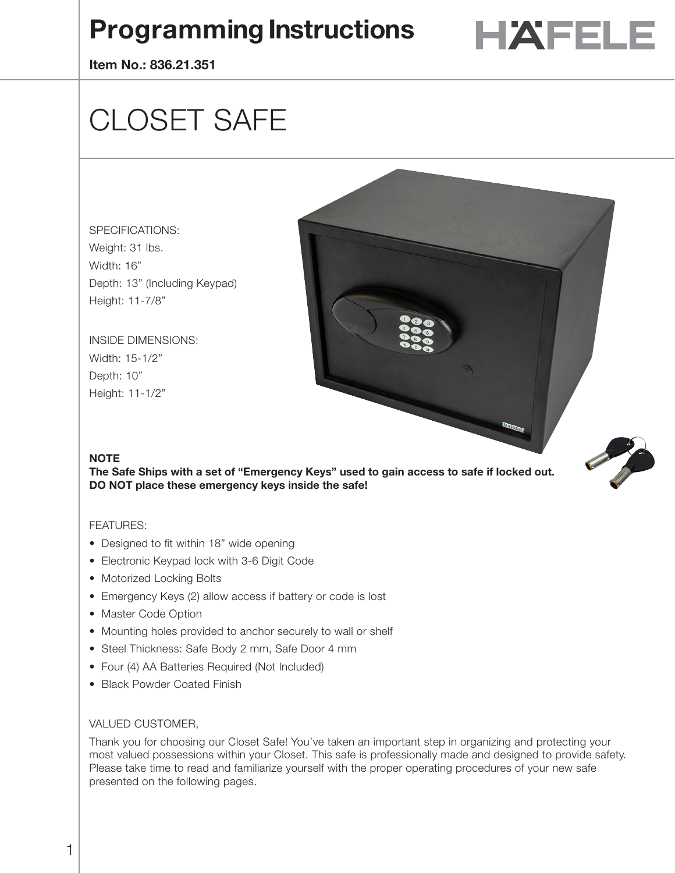# **Programming Instructions**  $\blacksquare$  **HAFELE**



**Item No.: 836.21.351**

# CLOSET SAFE

# SPECIFICATIONS: Weight: 31 lbs. Width: 16" Depth: 13" (Including Keypad) Height: 11-7/8"

INSIDE DIMENSIONS: Width: 15-1/2" Depth: 10" Height: 11-1/2"

## **NOTE**

**The Safe Ships with a set of "Emergency Keys" used to gain access to safe if locked out. DO NOT place these emergency keys inside the safe!**

## FEATURES:

- Designed to fit within 18" wide opening
- Electronic Keypad lock with 3-6 Digit Code
- Motorized Locking Bolts
- Emergency Keys (2) allow access if battery or code is lost
- Master Code Option
- Mounting holes provided to anchor securely to wall or shelf
- Steel Thickness: Safe Body 2 mm, Safe Door 4 mm
- Four (4) AA Batteries Required (Not Included)
- Black Powder Coated Finish

#### VALUED CUSTOMER,

Thank you for choosing our Closet Safe! You've taken an important step in organizing and protecting your most valued possessions within your Closet. This safe is professionally made and designed to provide safety. Please take time to read and familiarize yourself with the proper operating procedures of your new safe presented on the following pages.